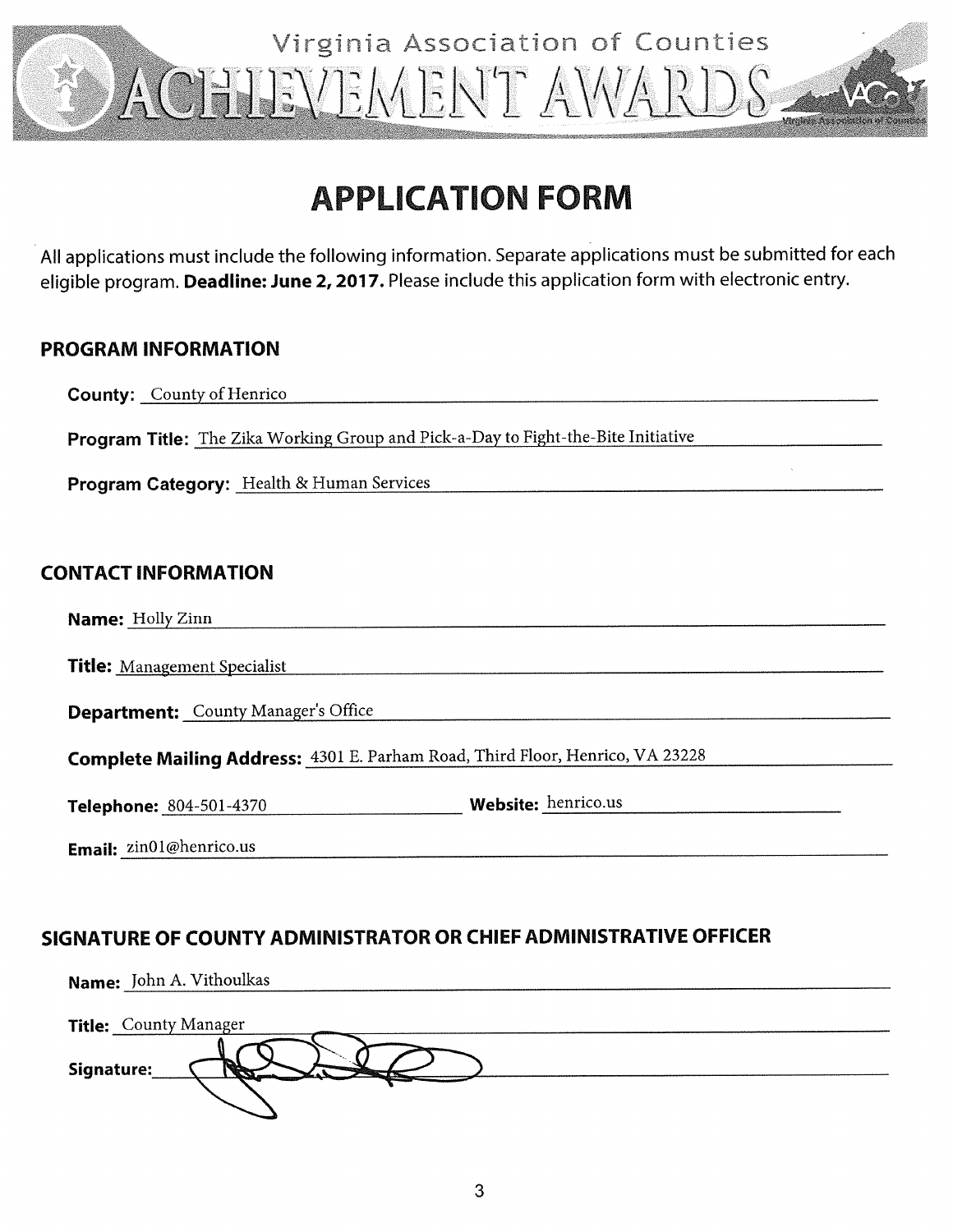

# **APPLICATION FORM**

All applications must include the following information. Separate applications must be submitted for each eligible program. Deadline: June 2, 2017. Please include this application form with electronic entry.

## **PROGRAM INFORMATION**

**County:** County of Henrico Program Title: The Zika Working Group and Pick-a-Day to Fight-the-Bite Initiative **Program Category:** Health & Human Services **CONTACT INFORMATION Name:** Holly Zinn **Title: Management Specialist Department:** County Manager's Office Complete Mailing Address: 4301 E. Parham Road, Third Floor, Henrico, VA 23228 **Website:** henrico.us Telephone: 804-501-4370 Email: zin01@henrico.us

## SIGNATURE OF COUNTY ADMINISTRATOR OR CHIEF ADMINISTRATIVE OFFICER

| Name: John A. Vithoulkas     |
|------------------------------|
|                              |
| <b>Title:</b> County Manager |
|                              |
| Signature:                   |
|                              |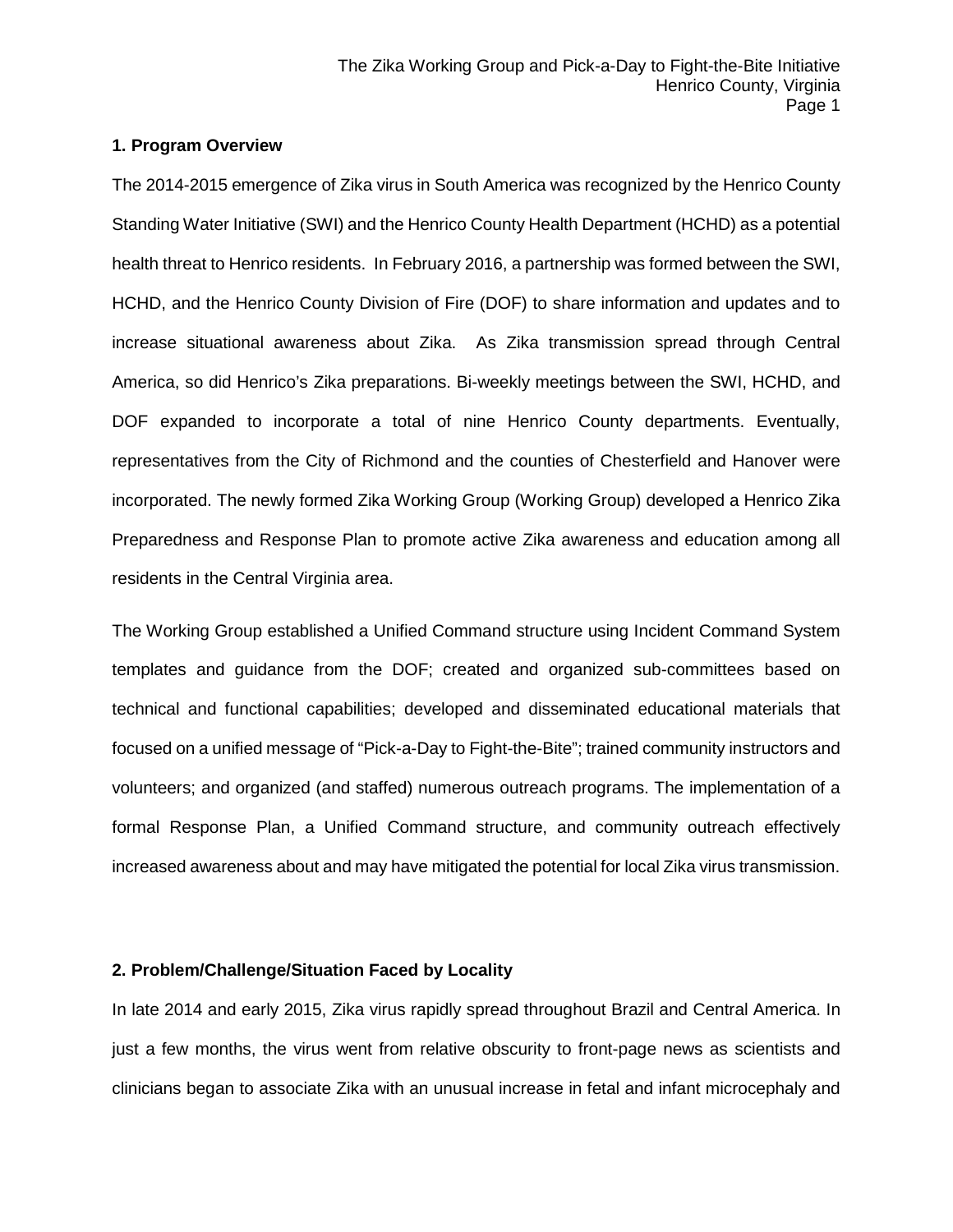### **1. Program Overview**

The 2014-2015 emergence of Zika virus in South America was recognized by the Henrico County Standing Water Initiative (SWI) and the Henrico County Health Department (HCHD) as a potential health threat to Henrico residents. In February 2016, a partnership was formed between the SWI, HCHD, and the Henrico County Division of Fire (DOF) to share information and updates and to increase situational awareness about Zika. As Zika transmission spread through Central America, so did Henrico's Zika preparations. Bi-weekly meetings between the SWI, HCHD, and DOF expanded to incorporate a total of nine Henrico County departments. Eventually, representatives from the City of Richmond and the counties of Chesterfield and Hanover were incorporated. The newly formed Zika Working Group (Working Group) developed a Henrico Zika Preparedness and Response Plan to promote active Zika awareness and education among all residents in the Central Virginia area.

The Working Group established a Unified Command structure using Incident Command System templates and guidance from the DOF; created and organized sub-committees based on technical and functional capabilities; developed and disseminated educational materials that focused on a unified message of "Pick-a-Day to Fight-the-Bite"; trained community instructors and volunteers; and organized (and staffed) numerous outreach programs. The implementation of a formal Response Plan, a Unified Command structure, and community outreach effectively increased awareness about and may have mitigated the potential for local Zika virus transmission.

### **2. Problem/Challenge/Situation Faced by Locality**

In late 2014 and early 2015, Zika virus rapidly spread throughout Brazil and Central America. In just a few months, the virus went from relative obscurity to front-page news as scientists and clinicians began to associate Zika with an unusual increase in fetal and infant microcephaly and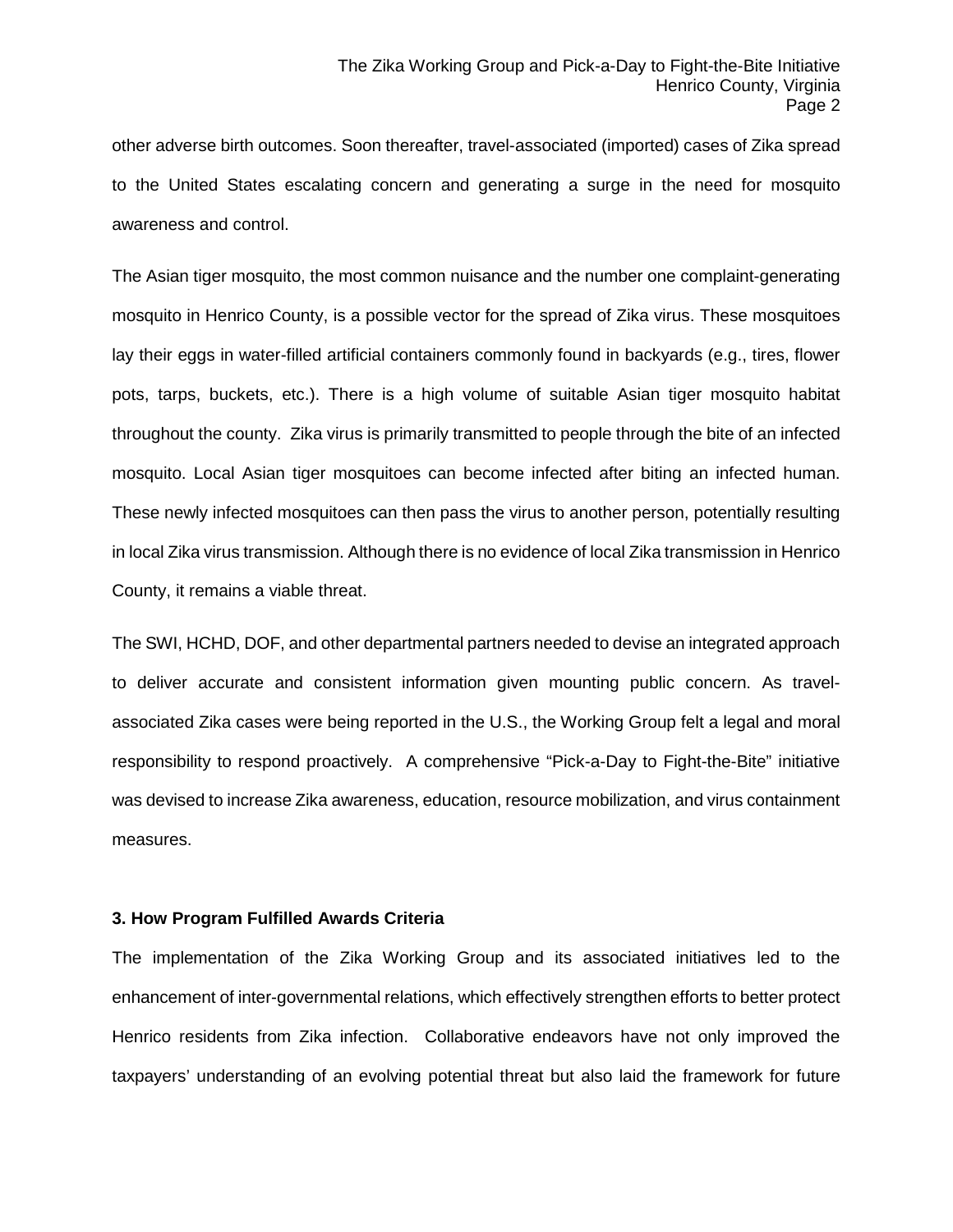other adverse birth outcomes. Soon thereafter, travel-associated (imported) cases of Zika spread to the United States escalating concern and generating a surge in the need for mosquito awareness and control.

The Asian tiger mosquito, the most common nuisance and the number one complaint-generating mosquito in Henrico County, is a possible vector for the spread of Zika virus. These mosquitoes lay their eggs in water-filled artificial containers commonly found in backyards (e.g., tires, flower pots, tarps, buckets, etc.). There is a high volume of suitable Asian tiger mosquito habitat throughout the county. Zika virus is primarily transmitted to people through the bite of an infected mosquito. Local Asian tiger mosquitoes can become infected after biting an infected human. These newly infected mosquitoes can then pass the virus to another person, potentially resulting in local Zika virus transmission. Although there is no evidence of local Zika transmission in Henrico County, it remains a viable threat.

The SWI, HCHD, DOF, and other departmental partners needed to devise an integrated approach to deliver accurate and consistent information given mounting public concern. As travelassociated Zika cases were being reported in the U.S., the Working Group felt a legal and moral responsibility to respond proactively. A comprehensive "Pick-a-Day to Fight-the-Bite" initiative was devised to increase Zika awareness, education, resource mobilization, and virus containment measures.

### **3. How Program Fulfilled Awards Criteria**

The implementation of the Zika Working Group and its associated initiatives led to the enhancement of inter-governmental relations, which effectively strengthen efforts to better protect Henrico residents from Zika infection. Collaborative endeavors have not only improved the taxpayers' understanding of an evolving potential threat but also laid the framework for future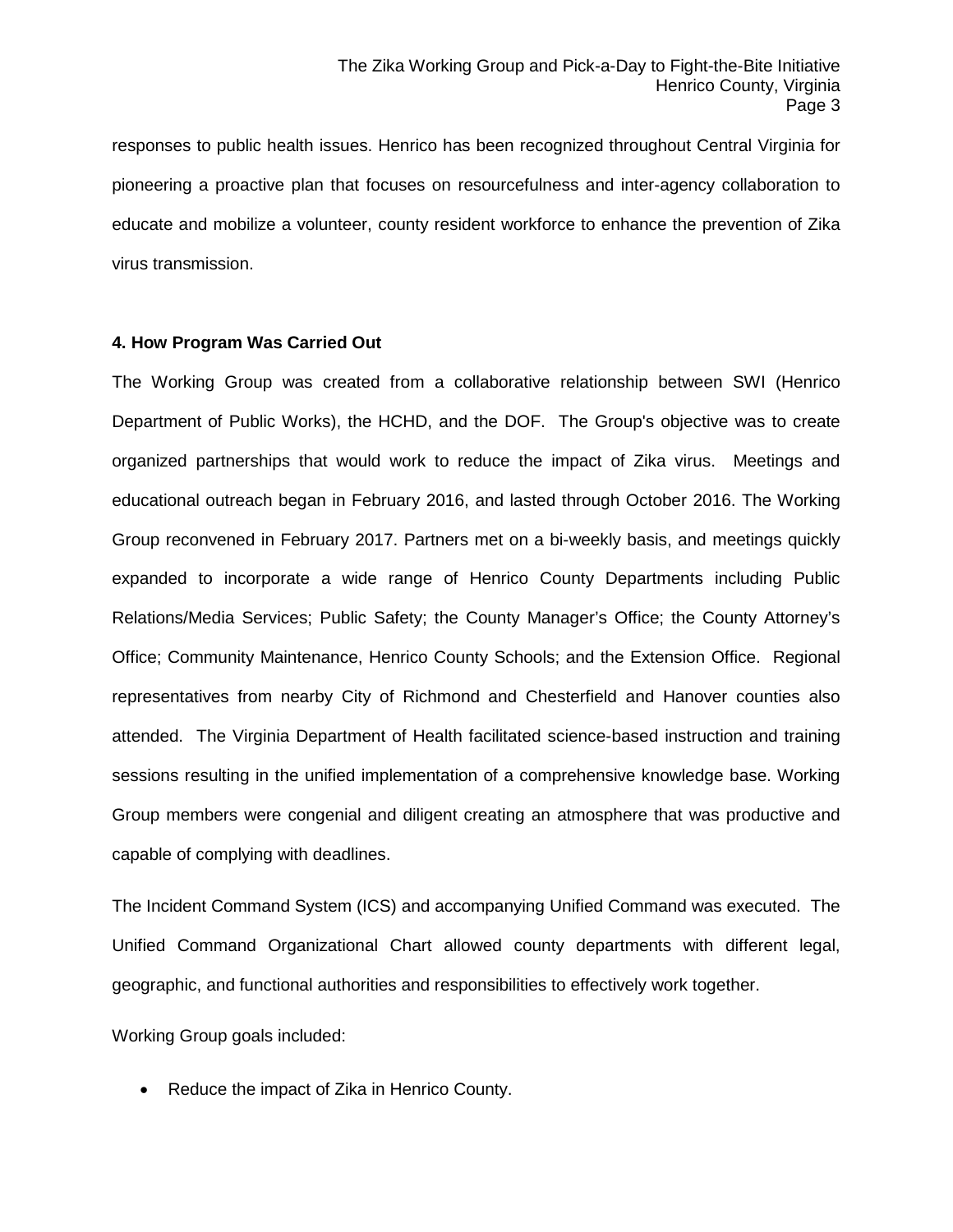responses to public health issues. Henrico has been recognized throughout Central Virginia for pioneering a proactive plan that focuses on resourcefulness and inter-agency collaboration to educate and mobilize a volunteer, county resident workforce to enhance the prevention of Zika virus transmission.

### **4. How Program Was Carried Out**

The Working Group was created from a collaborative relationship between SWI (Henrico Department of Public Works), the HCHD, and the DOF. The Group's objective was to create organized partnerships that would work to reduce the impact of Zika virus. Meetings and educational outreach began in February 2016, and lasted through October 2016. The Working Group reconvened in February 2017. Partners met on a bi-weekly basis, and meetings quickly expanded to incorporate a wide range of Henrico County Departments including Public Relations/Media Services; Public Safety; the County Manager's Office; the County Attorney's Office; Community Maintenance, Henrico County Schools; and the Extension Office. Regional representatives from nearby City of Richmond and Chesterfield and Hanover counties also attended. The Virginia Department of Health facilitated science-based instruction and training sessions resulting in the unified implementation of a comprehensive knowledge base. Working Group members were congenial and diligent creating an atmosphere that was productive and capable of complying with deadlines.

The Incident Command System (ICS) and accompanying Unified Command was executed. The Unified Command Organizational Chart allowed county departments with different legal, geographic, and functional authorities and responsibilities to effectively work together.

Working Group goals included:

• Reduce the impact of Zika in Henrico County.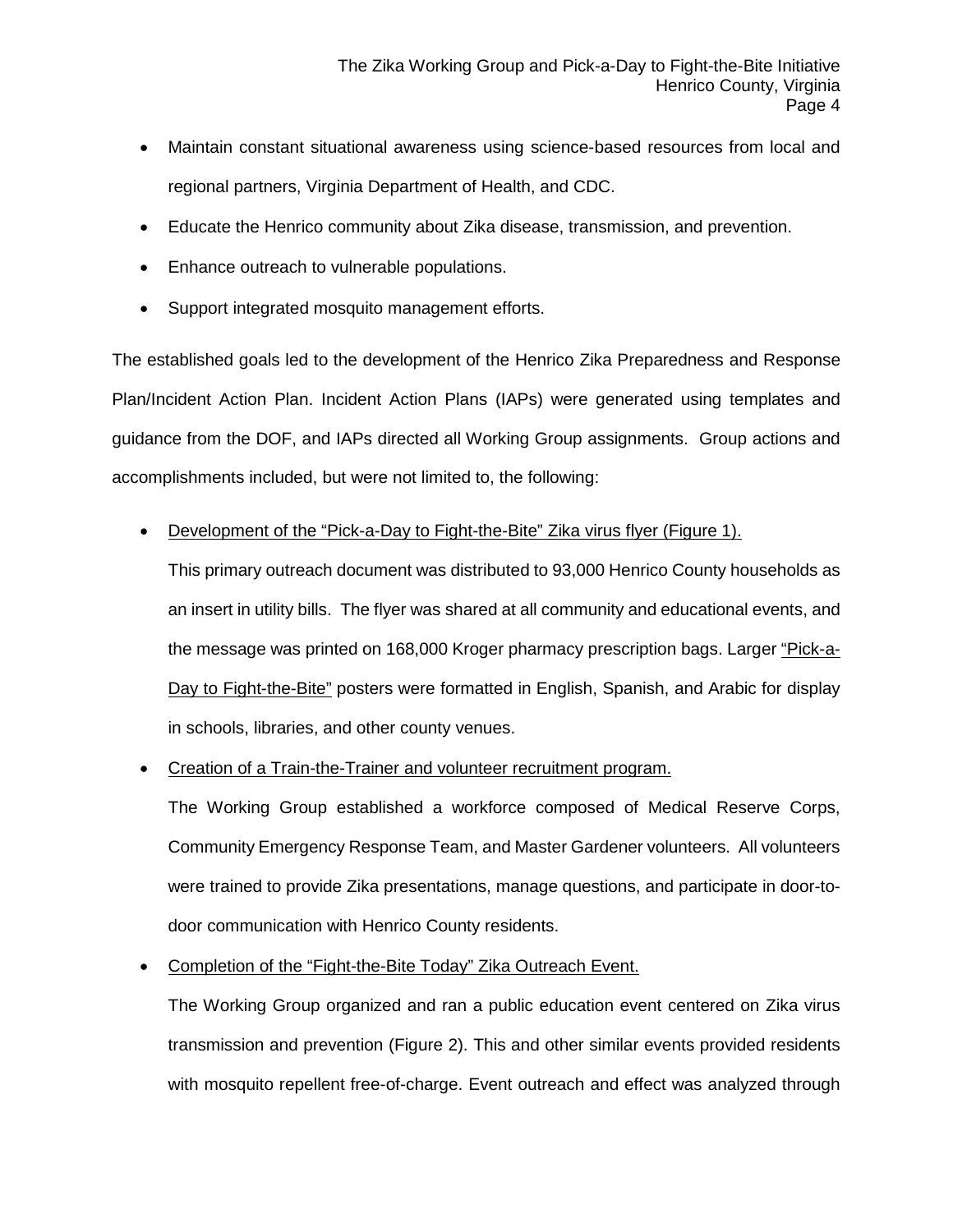- Maintain constant situational awareness using science-based resources from local and regional partners, Virginia Department of Health, and CDC.
- Educate the Henrico community about Zika disease, transmission, and prevention.
- Enhance outreach to vulnerable populations.
- Support integrated mosquito management efforts.

The established goals led to the development of the Henrico Zika Preparedness and Response Plan/Incident Action Plan. Incident Action Plans (IAPs) were generated using templates and guidance from the DOF, and IAPs directed all Working Group assignments. Group actions and accomplishments included, but were not limited to, the following:

### • Development of the "Pick-a-Day to Fight-the-Bite" Zika virus flyer (Figure 1).

This primary outreach document was distributed to 93,000 Henrico County households as an insert in utility bills. The flyer was shared at all community and educational events, and the message was printed on 168,000 Kroger pharmacy prescription bags. Larger "Pick-a-Day to Fight-the-Bite" posters were formatted in English, Spanish, and Arabic for display in schools, libraries, and other county venues.

• Creation of a Train-the-Trainer and volunteer recruitment program.

The Working Group established a workforce composed of Medical Reserve Corps, Community Emergency Response Team, and Master Gardener volunteers. All volunteers were trained to provide Zika presentations, manage questions, and participate in door-todoor communication with Henrico County residents.

• Completion of the "Fight-the-Bite Today" Zika Outreach Event.

The Working Group organized and ran a public education event centered on Zika virus transmission and prevention (Figure 2). This and other similar events provided residents with mosquito repellent free-of-charge. Event outreach and effect was analyzed through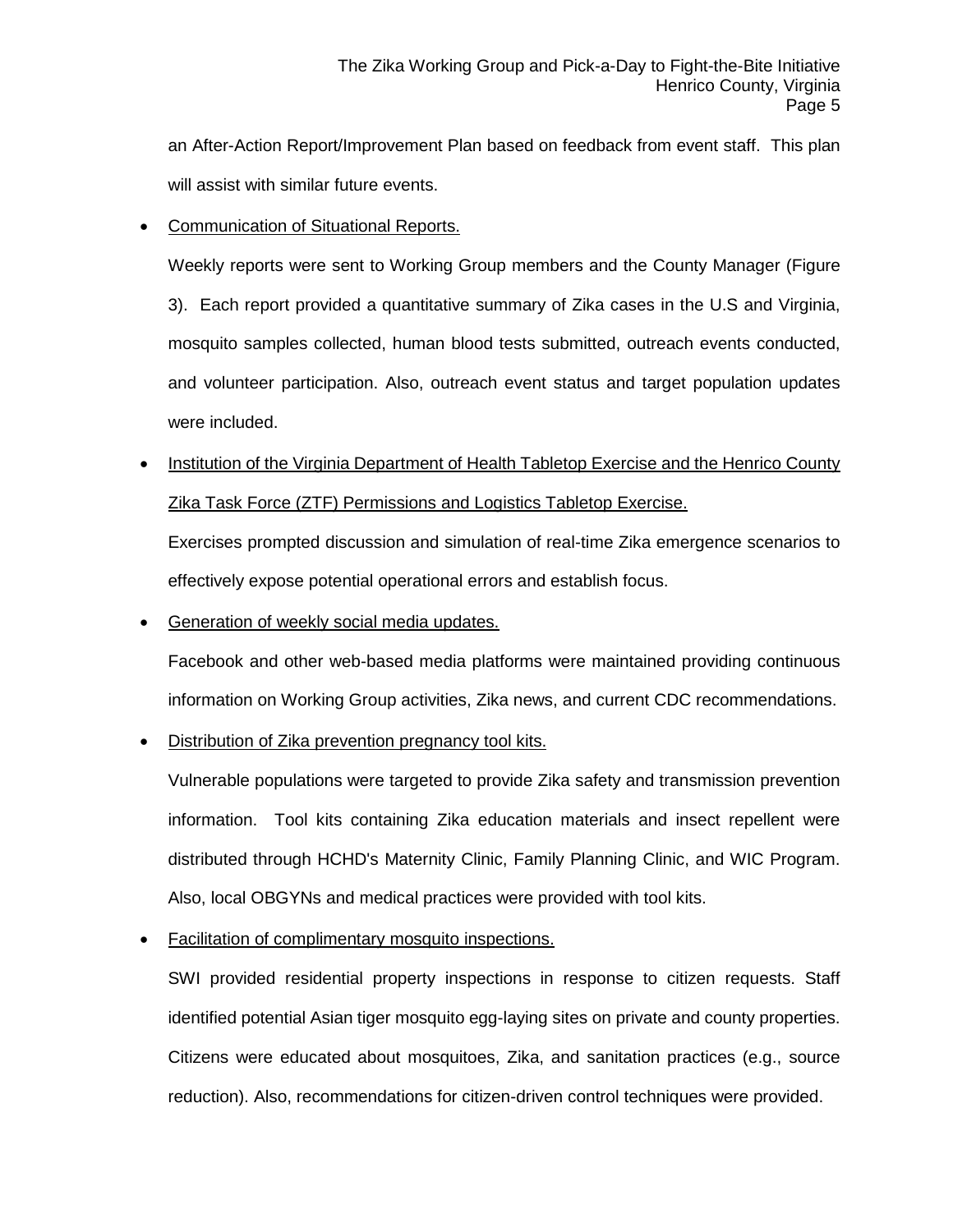an After-Action Report/Improvement Plan based on feedback from event staff. This plan will assist with similar future events.

### • Communication of Situational Reports.

Weekly reports were sent to Working Group members and the County Manager (Figure

3). Each report provided a quantitative summary of Zika cases in the U.S and Virginia, mosquito samples collected, human blood tests submitted, outreach events conducted, and volunteer participation. Also, outreach event status and target population updates were included.

• Institution of the Virginia Department of Health Tabletop Exercise and the Henrico County Zika Task Force (ZTF) Permissions and Logistics Tabletop Exercise.

Exercises prompted discussion and simulation of real-time Zika emergence scenarios to effectively expose potential operational errors and establish focus.

• Generation of weekly social media updates.

Facebook and other web-based media platforms were maintained providing continuous information on Working Group activities, Zika news, and current CDC recommendations.

## • Distribution of Zika prevention pregnancy tool kits.

Vulnerable populations were targeted to provide Zika safety and transmission prevention information. Tool kits containing Zika education materials and insect repellent were distributed through HCHD's Maternity Clinic, Family Planning Clinic, and WIC Program. Also, local OBGYNs and medical practices were provided with tool kits.

## • Facilitation of complimentary mosquito inspections.

SWI provided residential property inspections in response to citizen requests. Staff identified potential Asian tiger mosquito egg-laying sites on private and county properties. Citizens were educated about mosquitoes, Zika, and sanitation practices (e.g., source reduction). Also, recommendations for citizen-driven control techniques were provided.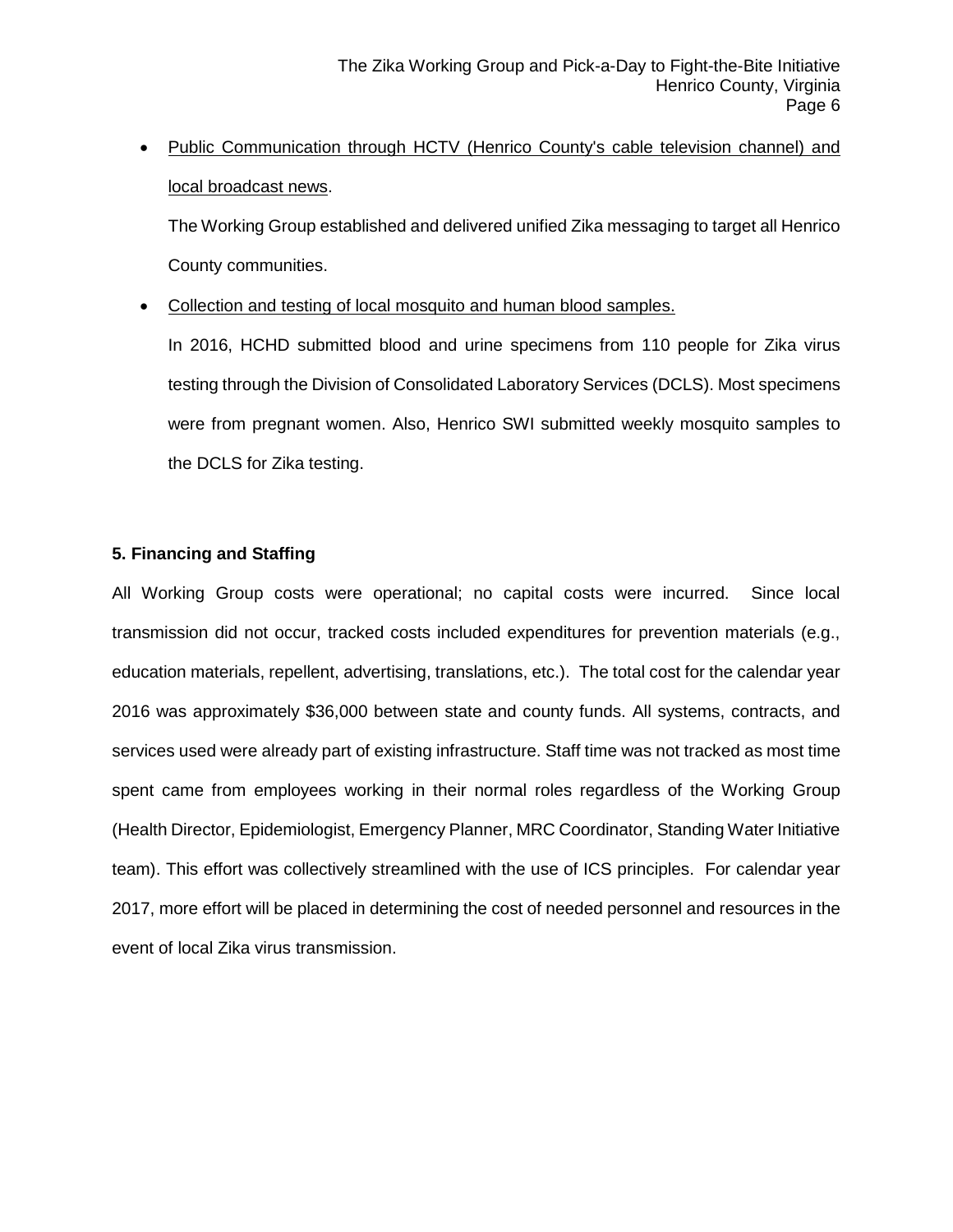• Public Communication through HCTV (Henrico County's cable television channel) and local broadcast news.

The Working Group established and delivered unified Zika messaging to target all Henrico County communities.

• Collection and testing of local mosquito and human blood samples.

In 2016, HCHD submitted blood and urine specimens from 110 people for Zika virus testing through the Division of Consolidated Laboratory Services (DCLS). Most specimens were from pregnant women. Also, Henrico SWI submitted weekly mosquito samples to the DCLS for Zika testing.

### **5. Financing and Staffing**

All Working Group costs were operational; no capital costs were incurred. Since local transmission did not occur, tracked costs included expenditures for prevention materials (e.g., education materials, repellent, advertising, translations, etc.). The total cost for the calendar year 2016 was approximately \$36,000 between state and county funds. All systems, contracts, and services used were already part of existing infrastructure. Staff time was not tracked as most time spent came from employees working in their normal roles regardless of the Working Group (Health Director, Epidemiologist, Emergency Planner, MRC Coordinator, Standing Water Initiative team). This effort was collectively streamlined with the use of ICS principles. For calendar year 2017, more effort will be placed in determining the cost of needed personnel and resources in the event of local Zika virus transmission.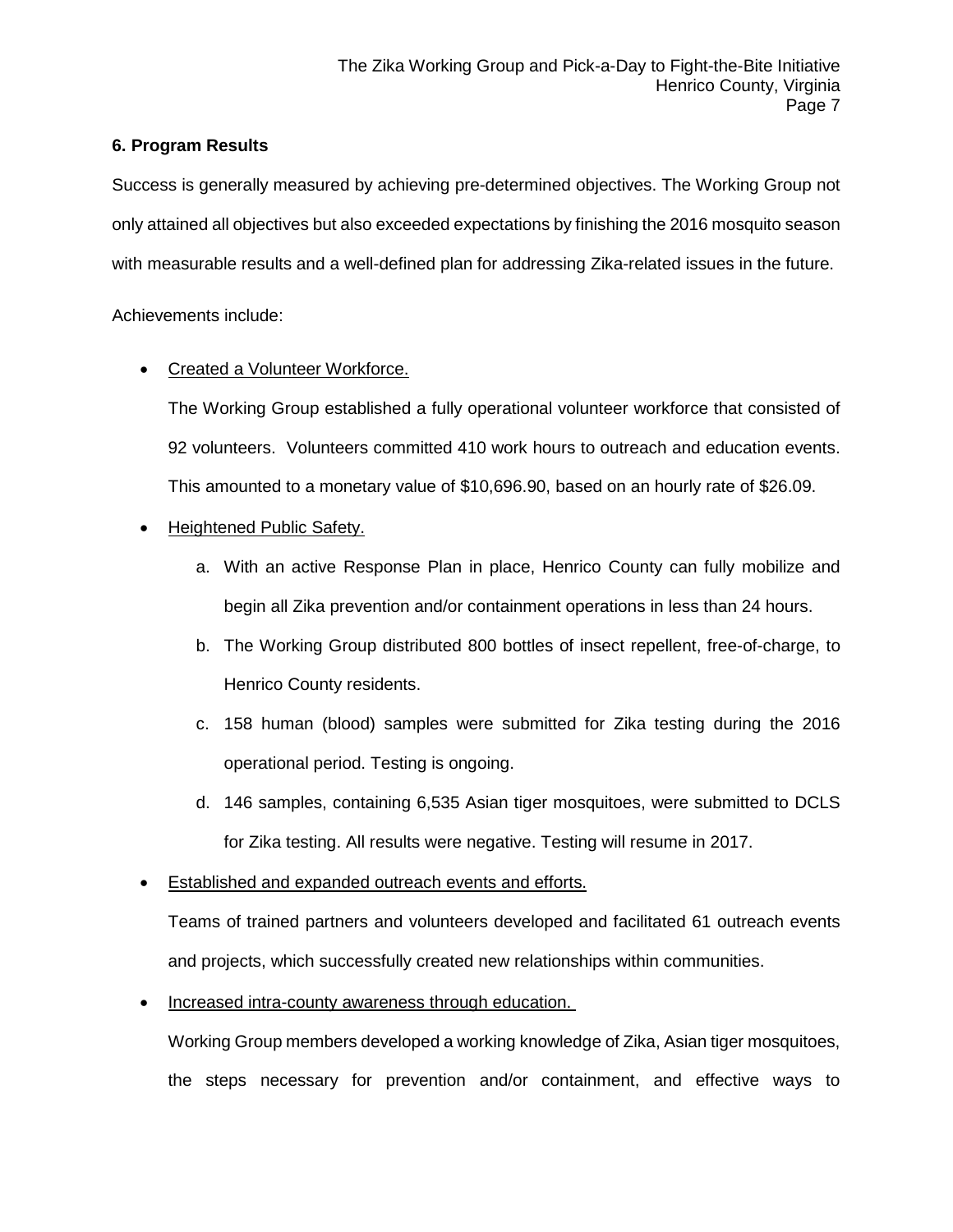### **6. Program Results**

Success is generally measured by achieving pre-determined objectives. The Working Group not only attained all objectives but also exceeded expectations by finishing the 2016 mosquito season with measurable results and a well-defined plan for addressing Zika-related issues in the future.

Achievements include:

## • Created a Volunteer Workforce.

The Working Group established a fully operational volunteer workforce that consisted of 92 volunteers. Volunteers committed 410 work hours to outreach and education events. This amounted to a monetary value of \$10,696.90, based on an hourly rate of \$26.09.

- Heightened Public Safety.
	- a. With an active Response Plan in place, Henrico County can fully mobilize and begin all Zika prevention and/or containment operations in less than 24 hours.
	- b. The Working Group distributed 800 bottles of insect repellent, free-of-charge, to Henrico County residents.
	- c. 158 human (blood) samples were submitted for Zika testing during the 2016 operational period. Testing is ongoing.
	- d. 146 samples, containing 6,535 Asian tiger mosquitoes, were submitted to DCLS for Zika testing. All results were negative. Testing will resume in 2017.
- Established and expanded outreach events and efforts.

Teams of trained partners and volunteers developed and facilitated 61 outreach events and projects, which successfully created new relationships within communities.

• Increased intra-county awareness through education.

Working Group members developed a working knowledge of Zika, Asian tiger mosquitoes, the steps necessary for prevention and/or containment, and effective ways to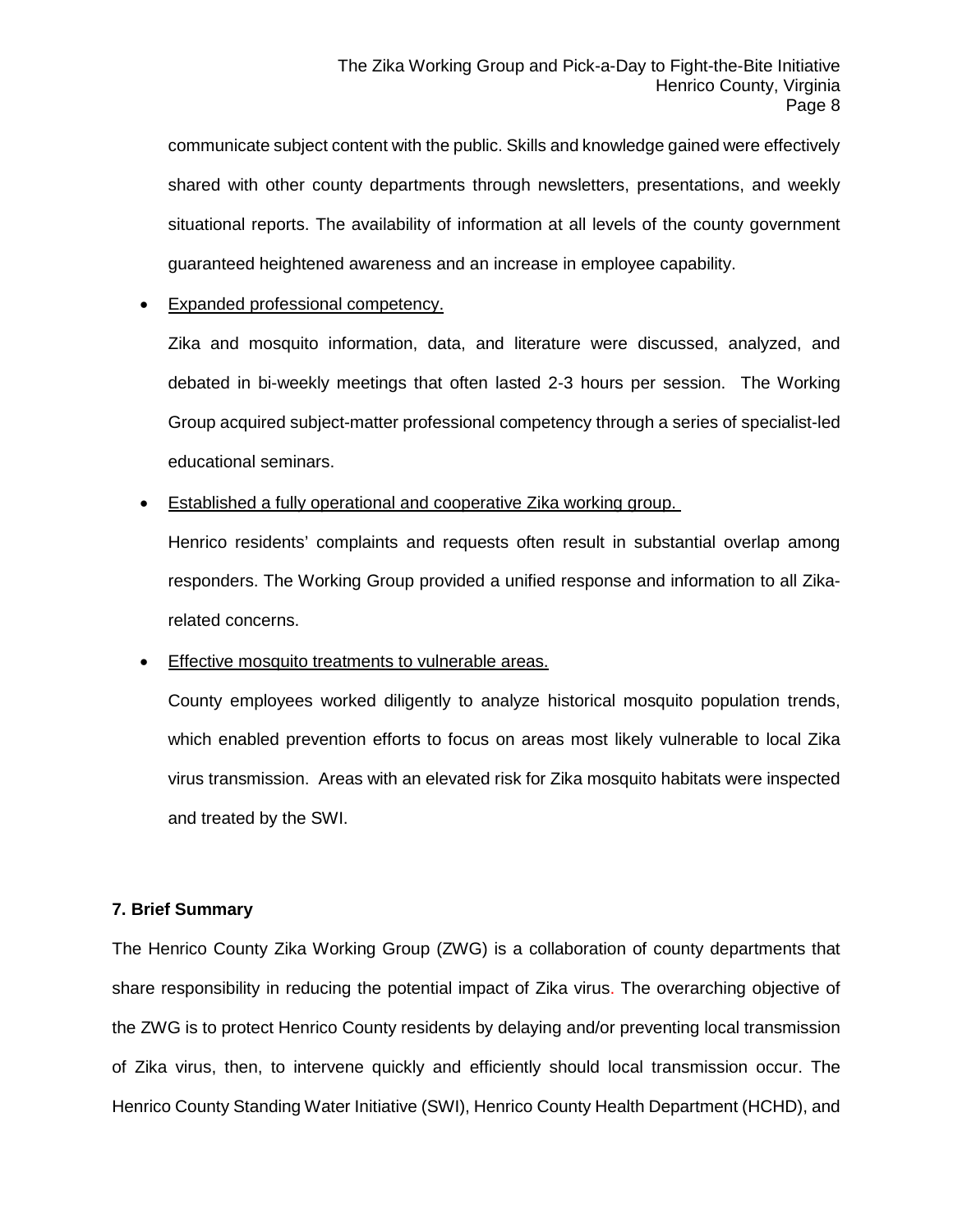communicate subject content with the public. Skills and knowledge gained were effectively shared with other county departments through newsletters, presentations, and weekly situational reports. The availability of information at all levels of the county government guaranteed heightened awareness and an increase in employee capability.

### • Expanded professional competency.

Zika and mosquito information, data, and literature were discussed, analyzed, and debated in bi-weekly meetings that often lasted 2-3 hours per session. The Working Group acquired subject-matter professional competency through a series of specialist-led educational seminars.

**Established a fully operational and cooperative Zika working group.** 

Henrico residents' complaints and requests often result in substantial overlap among responders. The Working Group provided a unified response and information to all Zikarelated concerns.

### Effective mosquito treatments to vulnerable areas.

County employees worked diligently to analyze historical mosquito population trends, which enabled prevention efforts to focus on areas most likely vulnerable to local Zika virus transmission. Areas with an elevated risk for Zika mosquito habitats were inspected and treated by the SWI.

### **7. Brief Summary**

The Henrico County Zika Working Group (ZWG) is a collaboration of county departments that share responsibility in reducing the potential impact of Zika virus. The overarching objective of the ZWG is to protect Henrico County residents by delaying and/or preventing local transmission of Zika virus, then, to intervene quickly and efficiently should local transmission occur. The Henrico County Standing Water Initiative (SWI), Henrico County Health Department (HCHD), and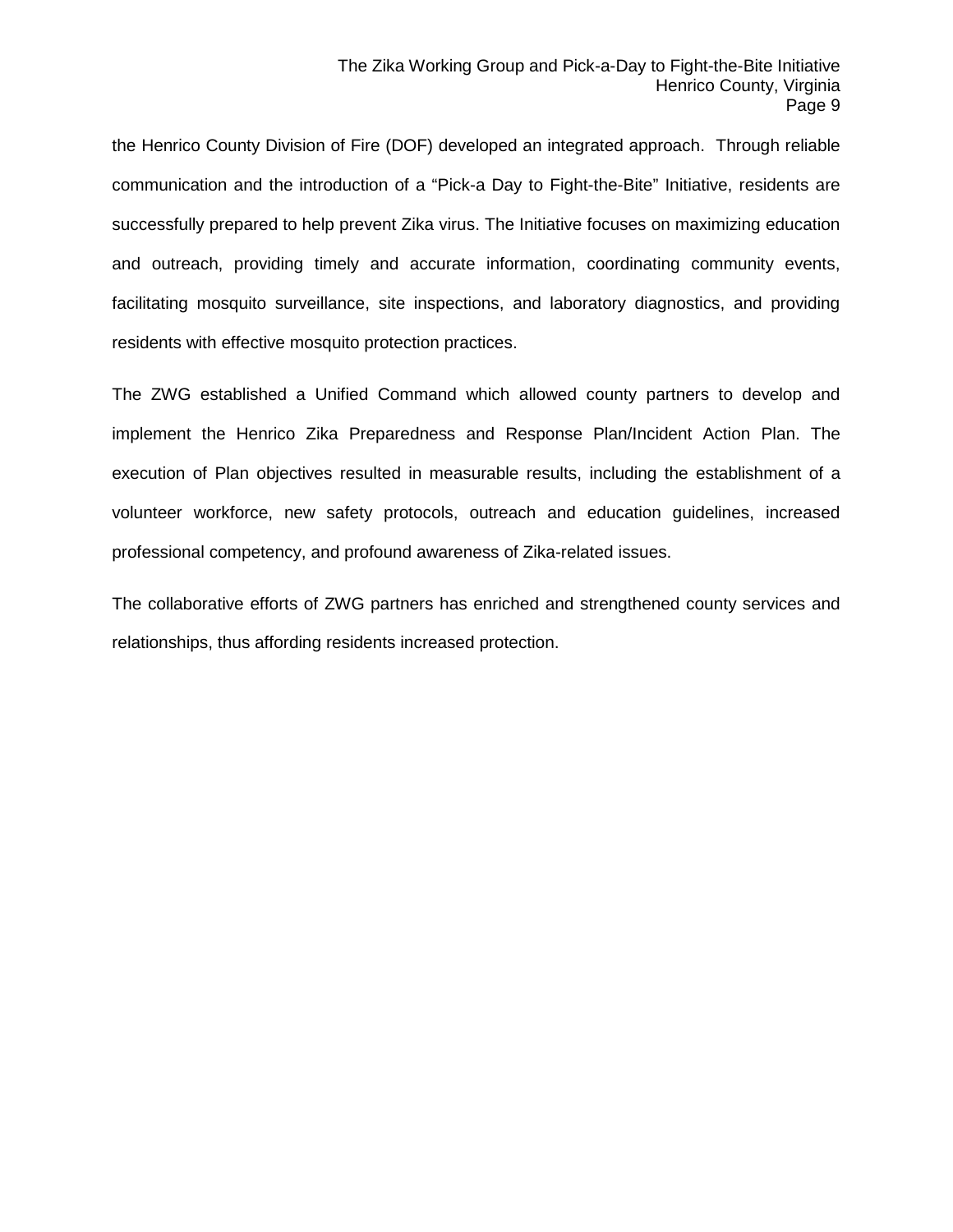the Henrico County Division of Fire (DOF) developed an integrated approach. Through reliable communication and the introduction of a "Pick-a Day to Fight-the-Bite" Initiative, residents are successfully prepared to help prevent Zika virus. The Initiative focuses on maximizing education and outreach, providing timely and accurate information, coordinating community events, facilitating mosquito surveillance, site inspections, and laboratory diagnostics, and providing residents with effective mosquito protection practices.

The ZWG established a Unified Command which allowed county partners to develop and implement the Henrico Zika Preparedness and Response Plan/Incident Action Plan. The execution of Plan objectives resulted in measurable results, including the establishment of a volunteer workforce, new safety protocols, outreach and education guidelines, increased professional competency, and profound awareness of Zika-related issues.

The collaborative efforts of ZWG partners has enriched and strengthened county services and relationships, thus affording residents increased protection.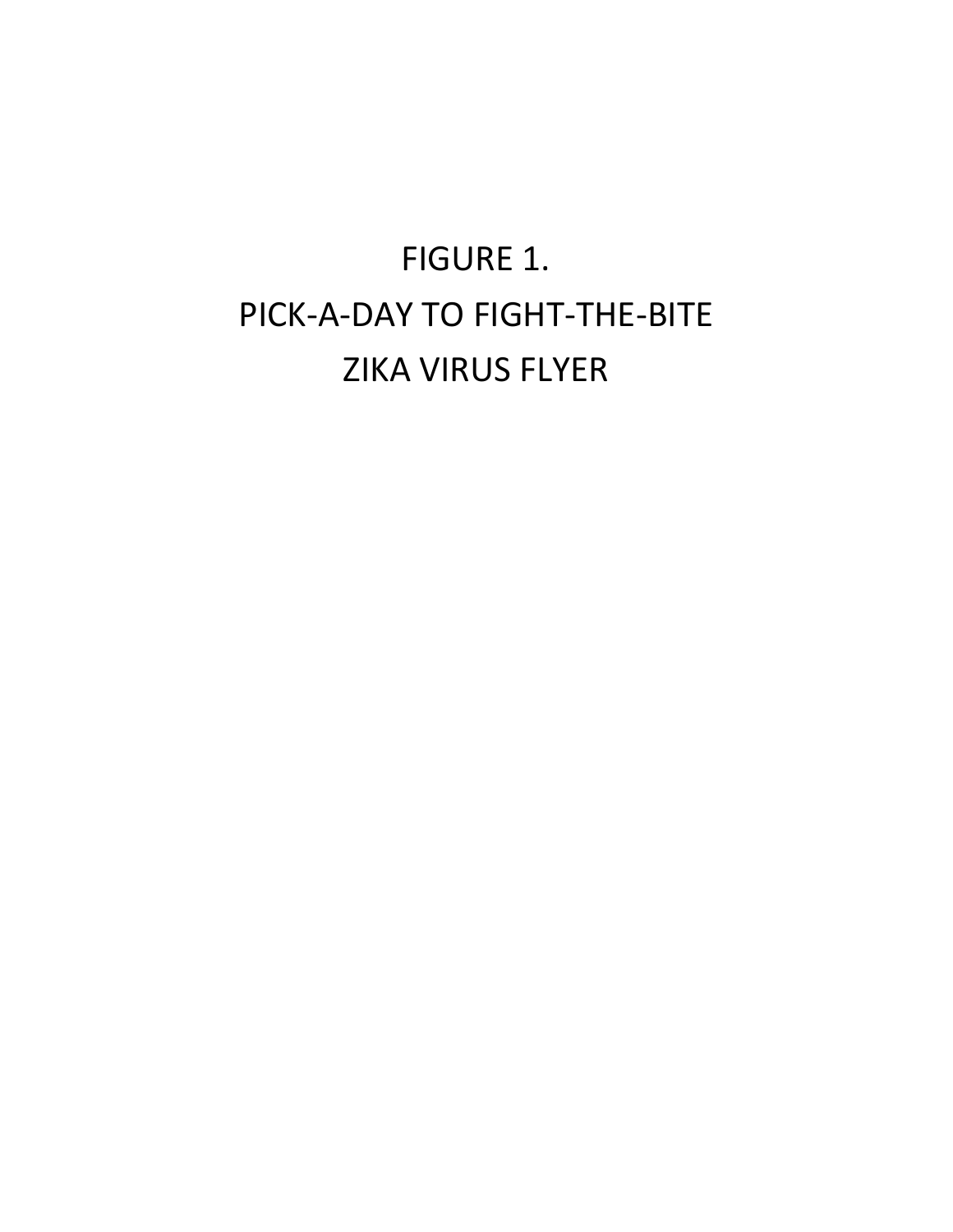# FIGURE 1. PICK-A-DAY TO FIGHT-THE-BITE ZIKA VIRUS FLYER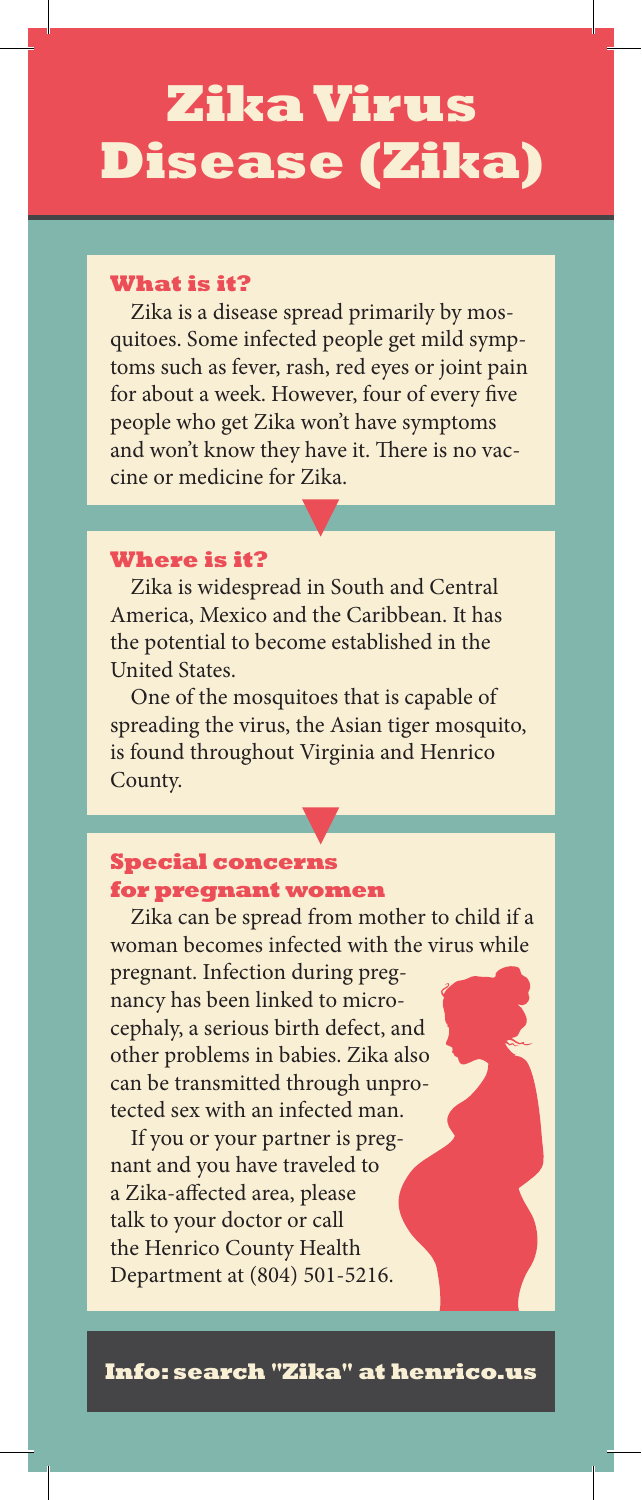# **Zika Virus Disease (Zika)**

#### **What is it?**

Zika is a disease spread primarily by mosquitoes. Some infected people get mild symptoms such as fever, rash, red eyes or joint pain for about a week. However, four of every five people who get Zika won't have symptoms and won't know they have it. There is no vaccine or medicine for Zika.

#### **Where is it?**

Zika is widespread in South and Central America, Mexico and the Caribbean. It has the potential to become established in the United States.

One of the mosquitoes that is capable of spreading the virus, the Asian tiger mosquito, is found throughout Virginia and Henrico County.

### **Special concerns for pregnant women**

Zika can be spread from mother to child if a woman becomes infected with the virus while pregnant. Infection during pregnancy has been linked to microcephaly, a serious birth defect, and other problems in babies. Zika also can be transmitted through unprotected sex with an infected man.

If you or your partner is pregnant and you have traveled to a Zika-affected area, please talk to your doctor or call the Henrico County Health Department at (804) 501-5216.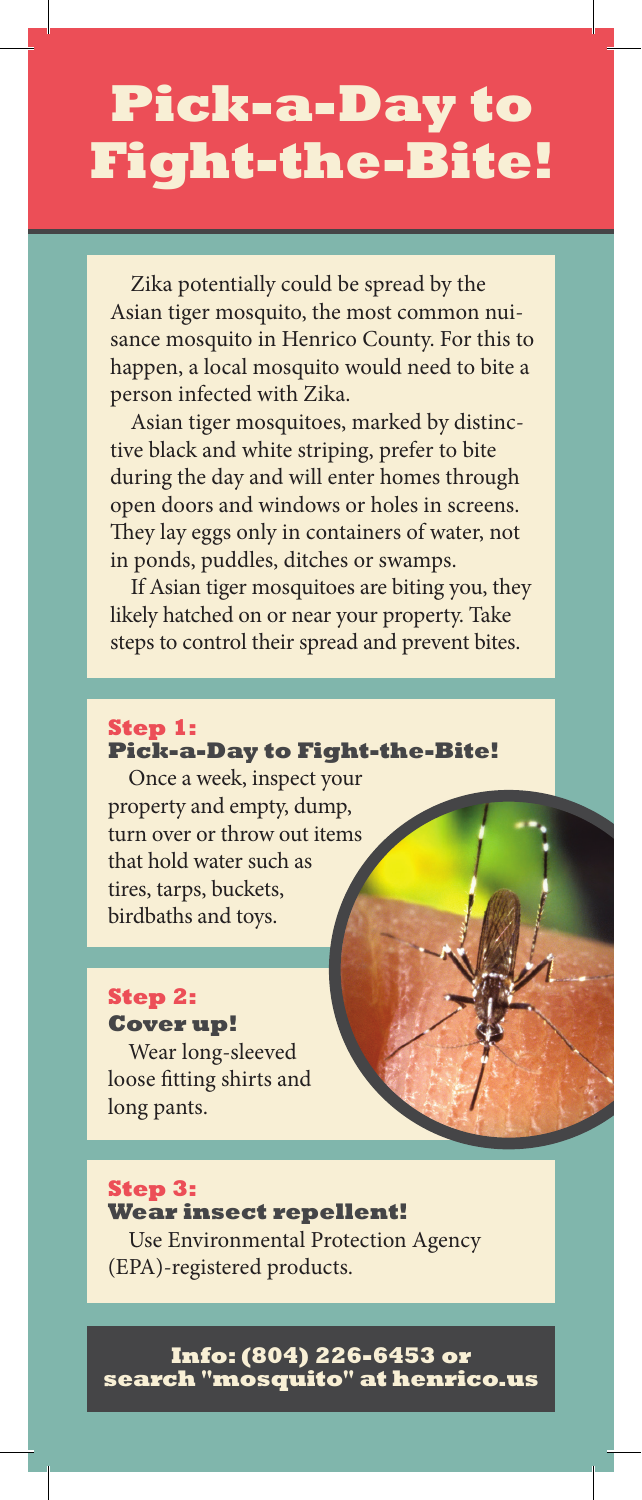# **Pick-a-Day to Fight-the-Bite!**

Zika potentially could be spread by the Asian tiger mosquito, the most common nuisance mosquito in Henrico County. For this to happen, a local mosquito would need to bite a person infected with Zika.

Asian tiger mosquitoes, marked by distinctive black and white striping, prefer to bite during the day and will enter homes through open doors and windows or holes in screens. They lay eggs only in containers of water, not in ponds, puddles, ditches or swamps.

If Asian tiger mosquitoes are biting you, they likely hatched on or near your property. Take steps to control their spread and prevent bites.

#### **Step 1: Pick-a-Day to Fight-the-Bite!**

Once a week, inspect your property and empty, dump, turn over or throw out items that hold water such as tires, tarps, buckets, birdbaths and toys.

### **Step 2: Cover up!**

Wear long-sleeved loose fitting shirts and long pants.

### **Step 3:**

**Wear insect repellent!** Use Environmental Protection Agency (EPA)-registered products.

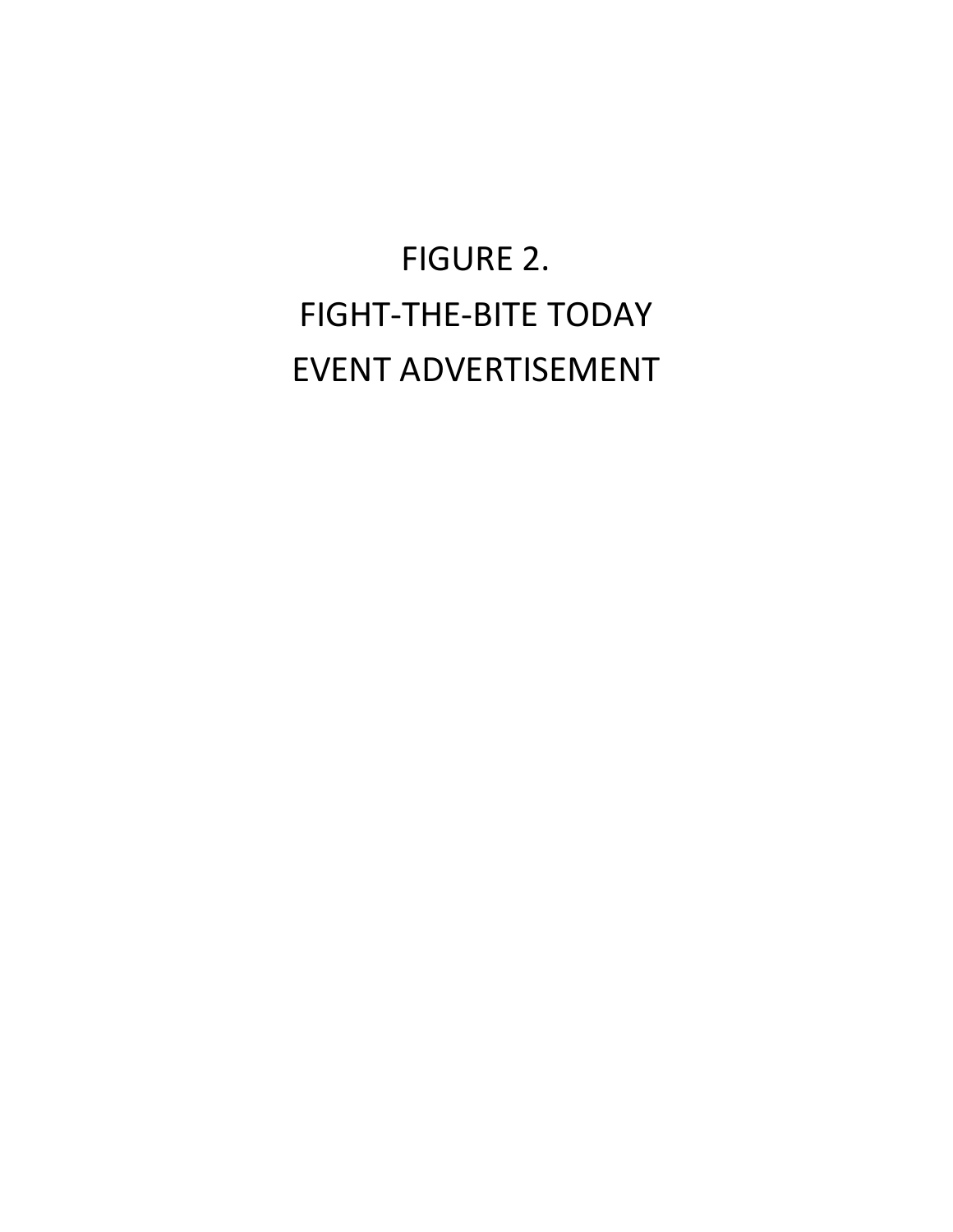# FIGURE 2. FIGHT-THE-BITE TODAY EVENT ADVERTISEMENT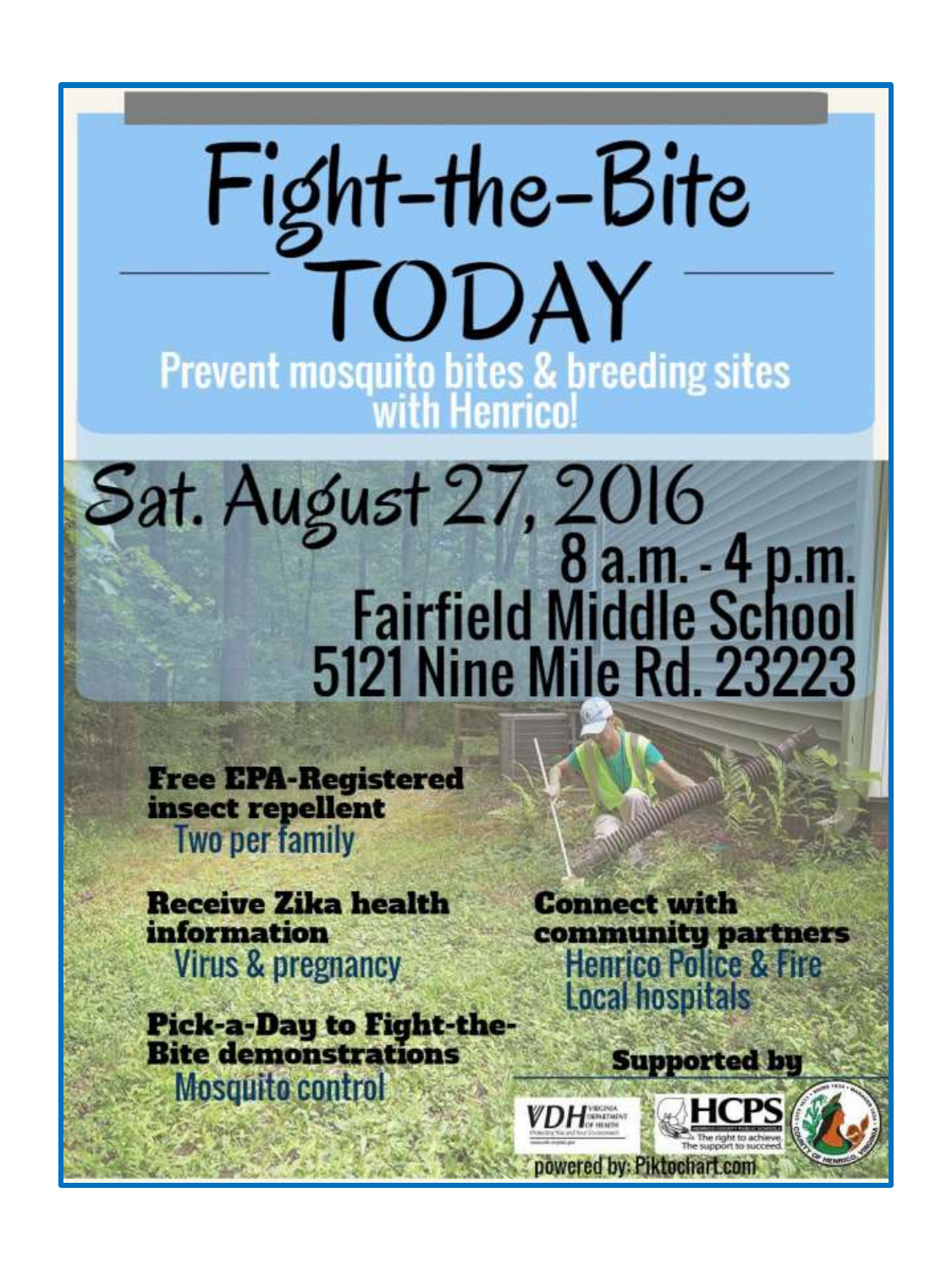

**Free EPA-Registered** insect repellent **Two per family** 

**Receive Zika health information Virus & pregnancy** 

**Pick-a-Day to Fight-the-<br>Bite demonstrations Mosquito control** 

**Connect with** community partners<br>Henrico Police & Fire **Local hospitals** 

**Supported by** 

VDH

powered by: Piktochart.con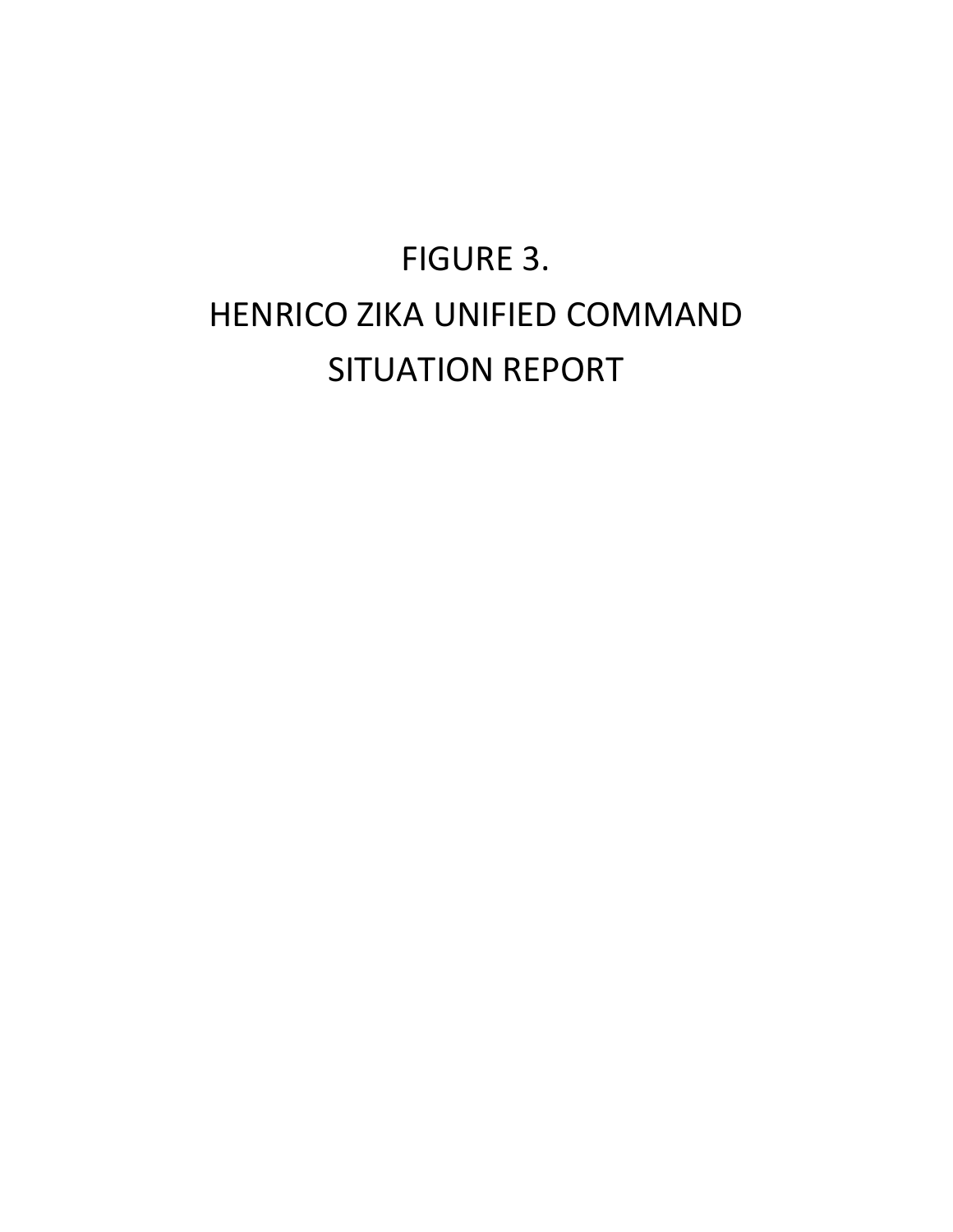# FIGURE 3. HENRICO ZIKA UNIFIED COMMAND SITUATION REPORT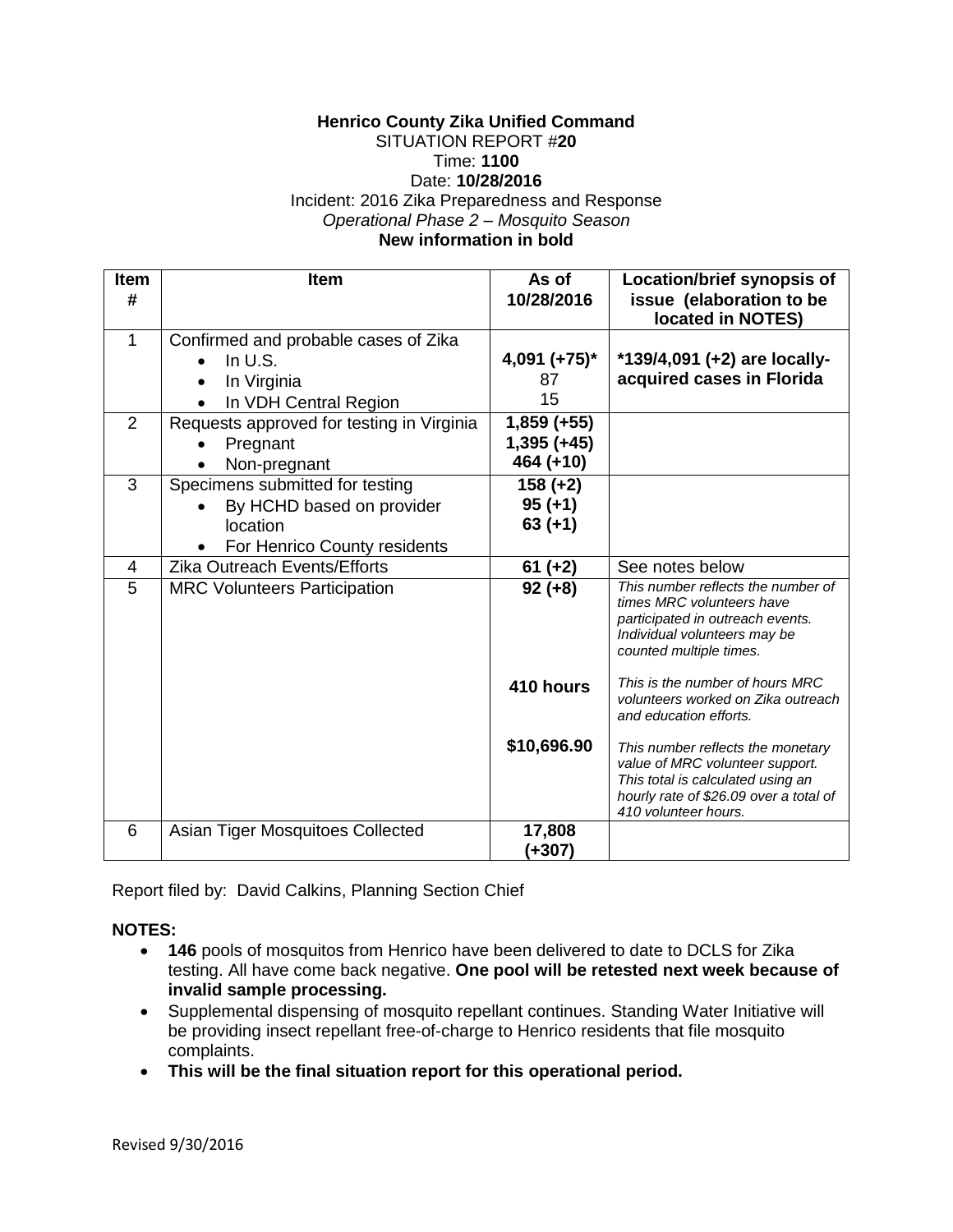### **Henrico County Zika Unified Command** SITUATION REPORT #**20** Time: **1100**

## Date: **10/28/2016**

Incident: 2016 Zika Preparedness and Response *Operational Phase 2 – Mosquito Season*

### **New information in bold**

| <b>Item</b><br># | Item                                                                                                     | As of<br>10/28/2016                         | Location/brief synopsis of<br>issue (elaboration to be<br>located in NOTES)                                                                                                 |  |
|------------------|----------------------------------------------------------------------------------------------------------|---------------------------------------------|-----------------------------------------------------------------------------------------------------------------------------------------------------------------------------|--|
| 1                | Confirmed and probable cases of Zika<br>In $U.S.$<br>In Virginia<br>In VDH Central Region                | $4,091 (+75)^*$<br>87<br>15                 | *139/4,091 (+2) are locally-<br>acquired cases in Florida                                                                                                                   |  |
| 2                | Requests approved for testing in Virginia<br>Pregnant<br>Non-pregnant                                    | $1,859 (+55)$<br>$1,395 (+45)$<br>464 (+10) |                                                                                                                                                                             |  |
| 3                | Specimens submitted for testing<br>By HCHD based on provider<br>location<br>For Henrico County residents | $158 (+2)$<br>$95 (+1)$<br>$63 (+1)$        |                                                                                                                                                                             |  |
| 4                | <b>Zika Outreach Events/Efforts</b>                                                                      | $61 (+2)$                                   | See notes below                                                                                                                                                             |  |
| 5                | <b>MRC Volunteers Participation</b>                                                                      | $92 (+8)$                                   | This number reflects the number of<br>times MRC volunteers have<br>participated in outreach events.<br>Individual volunteers may be<br>counted multiple times.              |  |
|                  |                                                                                                          | 410 hours                                   | This is the number of hours MRC<br>volunteers worked on Zika outreach<br>and education efforts.                                                                             |  |
|                  |                                                                                                          | \$10,696.90                                 | This number reflects the monetary<br>value of MRC volunteer support.<br>This total is calculated using an<br>hourly rate of \$26.09 over a total of<br>410 volunteer hours. |  |
| 6                | Asian Tiger Mosquitoes Collected                                                                         | 17,808<br>(+307)                            |                                                                                                                                                                             |  |

Report filed by: David Calkins, Planning Section Chief

### **NOTES:**

- **146** pools of mosquitos from Henrico have been delivered to date to DCLS for Zika testing. All have come back negative. **One pool will be retested next week because of invalid sample processing.**
- Supplemental dispensing of mosquito repellant continues. Standing Water Initiative will be providing insect repellant free-of-charge to Henrico residents that file mosquito complaints.
- **This will be the final situation report for this operational period.**